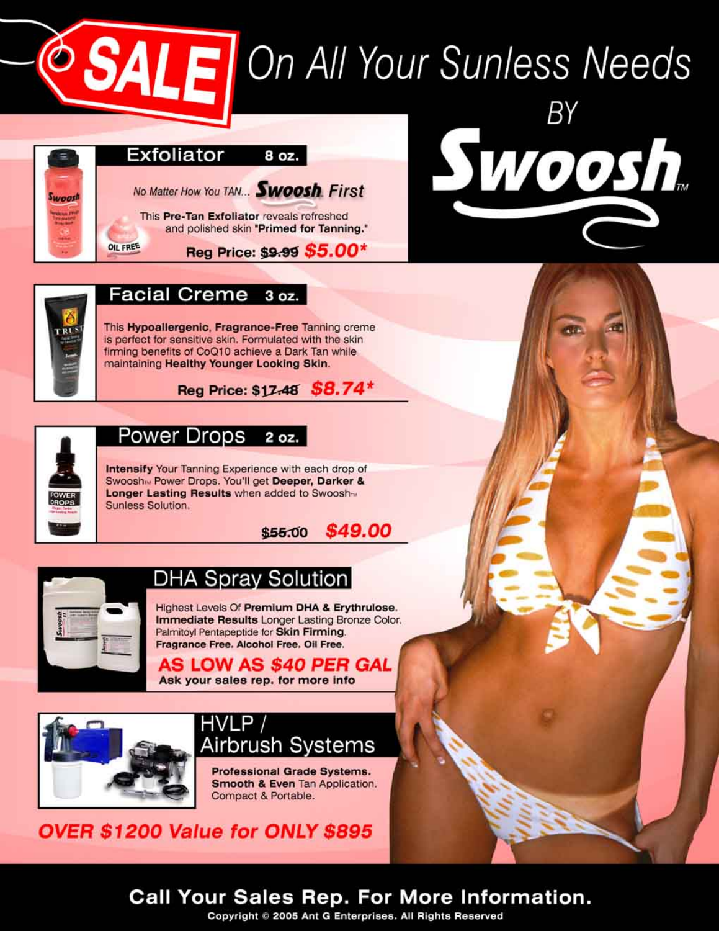# **SALE** On All Your Sunless Needs



Swoosh.



### **Facial Creme** 3 oz.

This Hypoallergenic, Fragrance-Free Tanning creme is perfect for sensitive skin. Formulated with the skin firming benefits of CoQ10 achieve a Dark Tan while maintaining Healthy Younger Looking Skin.





#### Power Drops 2 oz.

Intensify Your Tanning Experience with each drop of Swoosh M Power Drops. You'll get Deeper, Darker & Longer Lasting Results when added to Swooshm Sunless Solution.





# **DHA Spray Solution**

Highest Levels Of Premium DHA & Erythrulose. Immediate Results Longer Lasting Bronze Color. Palmitoyl Pentapeptide for Skin Firming. Fragrance Free. Alcohol Free. Oil Free.

AS LOW AS \$40 PER GAL Ask your sales rep. for more info



### HVLP / Airbrush Systems

Professional Grade Systems. Smooth & Even Tan Application. Compact & Portable.

OVER \$1200 Value for ONLY \$895

## **Call Your Sales Rep. For More Information.**

Copyright © 2005 Ant G Enterprises. All Rights Reserved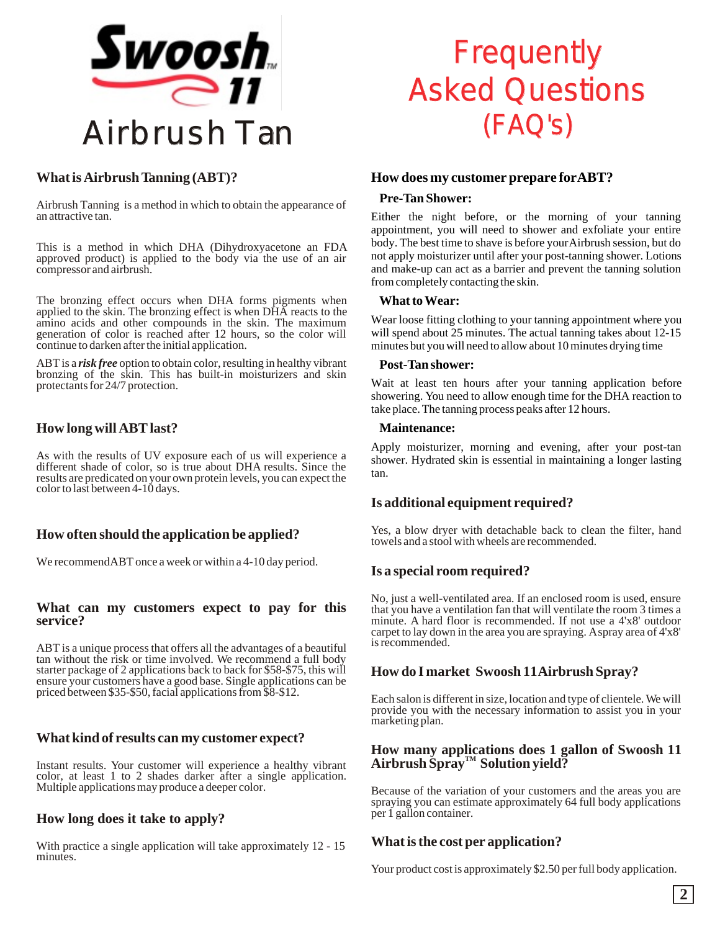

### **What is Airbrush Tanning (ABT)?**

Airbrush Tanning is a method in which to obtain the appearance of an attractive tan.

This is a method in which DHA (Dihydroxyacetone an FDA approved product) is applied to the body via the use of an air compressor and airbrush.

The bronzing effect occurs when DHA forms pigments when applied to the skin. The bronzing effect is when DHA reacts to the amino acids and other compounds in the skin. The maximum generation of color is reached after 12 hours, so the color will continue to darken after the initial application.

ABT is a *risk free* option to obtain color, resulting in healthy vibrant bronzing of the skin. This has built-in moisturizers and skin protectants for 24/7 protection.

### **How long will ABT last?**

As with the results of UV exposure each of us will experience a different shade of color, so is true about DHA results. Since the results are predicated on your own protein levels, you can expect the color to last between 4-10 days.

### **How often should the application be applied?**

We recommend ABT once a week or within a 4-10 day period.

### **What can my customers expect to pay for this service?**

ABT is a unique process that offers all the advantages of a beautiful tan without the risk or time involved. We recommend a full body starter package of 2 applications back to back for \$58-\$75, this will ensure your customers have a good base. Single applications can be priced between \$35-\$50, facial applications from \$8-\$12.

### **What kind of results can my customer expect?**

Instant results. Your customer will experience a healthy vibrant color, at least 1 to 2 shades darker after a single application. Multiple applications may produce a deeper color.

### **How long does it take to apply?**

With practice a single application will take approximately 12 - 15 minutes.

# **Frequently** Asked Questions (FAQ's)

### **How does my customer prepare for ABT?**

### **Pre-Tan Shower:**

Either the night before, or the morning of your tanning appointment, you will need to shower and exfoliate your entire body. The best time to shave is before your Airbrush session, but do not apply moisturizer until after your post-tanning shower. Lotions and make-up can act as a barrier and prevent the tanning solution from completely contacting the skin.

### **What to Wear:**

Wear loose fitting clothing to your tanning appointment where you will spend about 25 minutes. The actual tanning takes about 12-15 minutes but you will need to allow about 10 minutes drying time

### **Post-Tan shower:**

Wait at least ten hours after your tanning application before showering. You need to allow enough time for the DHA reaction to take place. The tanning process peaks after 12 hours.

### **Maintenance:**

Apply moisturizer, morning and evening, after your post-tan shower. Hydrated skin is essential in maintaining a longer lasting tan.

### **Is additional equipment required?**

Yes, a blow dryer with detachable back to clean the filter, hand towels and a stool with wheels are recommended.

### **Is a special room required?**

No, just a well-ventilated area. If an enclosed room is used, ensure that you have a ventilation fan that will ventilate the room 3 times a minute. A hard floor is recommended. If not use a 4'x8' outdoor carpet to lay down in the area you are spraying. A spray area of 4'x8' is recommended.

### **How do I market Swoosh 11 Airbrush Spray?**

Each salon is different in size, location and type of clientele. We will provide you with the necessary information to assist you in your marketing plan.

### **How many applications does 1 gallon of Swoosh 11**   $A$ irbrush Špray™ Solution yield?

Because of the variation of your customers and the areas you are spraying you can estimate approximately 64 full body applications per 1 gallon container.

### **What is the cost per application?**

Your product cost is approximately \$2.50 per full body application.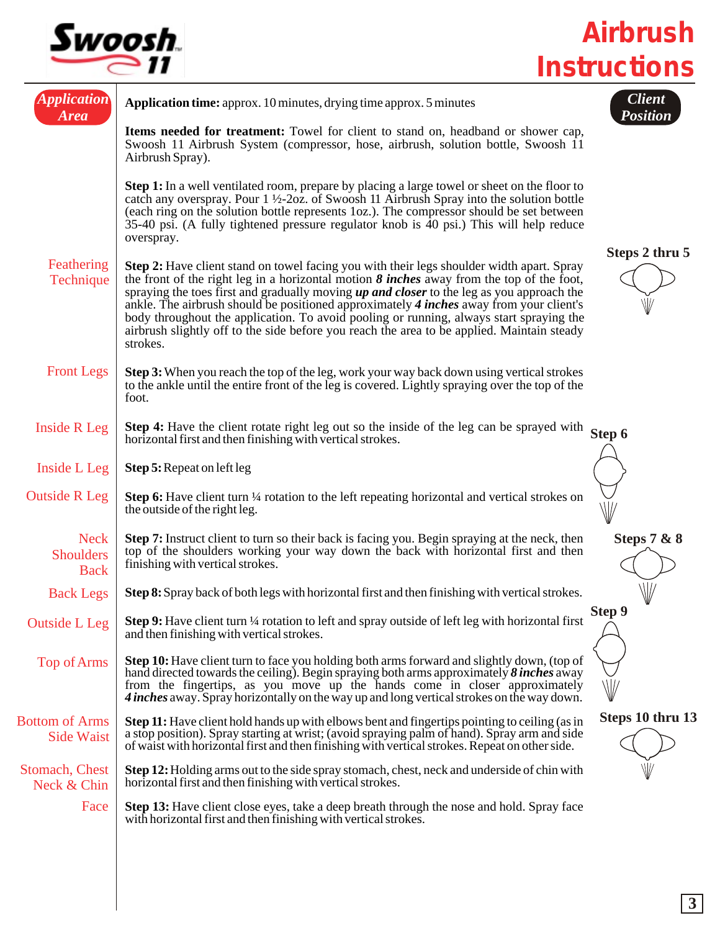

*Airbrush Instructions*

| <i><b>Application</b></i><br><b>Area</b>       | <b>Application time:</b> approx. 10 minutes, drying time approx. 5 minutes                                                                                                                                                                                                                                                                                                                                                                                                                                                                                                                 | <b>Client</b><br>Position |
|------------------------------------------------|--------------------------------------------------------------------------------------------------------------------------------------------------------------------------------------------------------------------------------------------------------------------------------------------------------------------------------------------------------------------------------------------------------------------------------------------------------------------------------------------------------------------------------------------------------------------------------------------|---------------------------|
|                                                | Items needed for treatment: Towel for client to stand on, headband or shower cap,<br>Swoosh 11 Airbrush System (compressor, hose, airbrush, solution bottle, Swoosh 11<br>Airbrush Spray).                                                                                                                                                                                                                                                                                                                                                                                                 |                           |
|                                                | <b>Step 1:</b> In a well ventilated room, prepare by placing a large towel or sheet on the floor to<br>catch any overspray. Pour $1\frac{1}{2}$ -20z. of Swoosh 11 Airbrush Spray into the solution bottle<br>(each ring on the solution bottle represents 1oz.). The compressor should be set between<br>35-40 psi. (A fully tightened pressure regulator knob is $\overline{40}$ psi.) This will help reduce<br>overspray.                                                                                                                                                               | Steps 2 thru 5            |
| Feathering<br>Technique                        | Step 2: Have client stand on towel facing you with their legs shoulder width apart. Spray<br>the front of the right leg in a horizontal motion $\delta$ inches away from the top of the foot,<br>spraying the toes first and gradually moving up and closer to the leg as you approach the<br>ankle. The airbrush should be positioned approximately 4 inches away from your client's<br>body throughout the application. To avoid pooling or running, always start spraying the<br>airbrush slightly off to the side before you reach the area to be applied. Maintain steady<br>strokes. |                           |
| <b>Front Legs</b>                              | Step 3: When you reach the top of the leg, work your way back down using vertical strokes<br>to the ankle until the entire front of the leg is covered. Lightly spraying over the top of the<br>foot.                                                                                                                                                                                                                                                                                                                                                                                      |                           |
| <b>Inside R Leg</b>                            | <b>Step 4:</b> Have the client rotate right leg out so the inside of the leg can be sprayed with<br>horizontal first and then finishing with vertical strokes.                                                                                                                                                                                                                                                                                                                                                                                                                             | Step 6                    |
| Inside L Leg                                   | Step 5: Repeat on left leg                                                                                                                                                                                                                                                                                                                                                                                                                                                                                                                                                                 |                           |
| <b>Outside R Leg</b>                           | <b>Step 6:</b> Have client turn $\frac{1}{4}$ rotation to the left repeating horizontal and vertical strokes on<br>the outside of the right leg.                                                                                                                                                                                                                                                                                                                                                                                                                                           |                           |
| <b>Neck</b><br><b>Shoulders</b><br><b>Back</b> | <b>Step 7:</b> Instruct client to turn so their back is facing you. Begin spraying at the neck, then<br>top of the shoulders working your way down the back with horizontal first and then<br>finishing with vertical strokes.                                                                                                                                                                                                                                                                                                                                                             | <b>Steps 7 &amp; 8</b>    |
| <b>Back Legs</b>                               | Step 8: Spray back of both legs with horizontal first and then finishing with vertical strokes.                                                                                                                                                                                                                                                                                                                                                                                                                                                                                            |                           |
| <b>Outside L Leg</b>                           | Step 9: Have client turn 1/4 rotation to left and spray outside of left leg with horizontal first<br>and then finishing with vertical strokes.                                                                                                                                                                                                                                                                                                                                                                                                                                             | Step 9                    |
| Top of Arms                                    | <b>Step 10:</b> Have client turn to face you holding both arms forward and slightly down, (top of<br>hand directed towards the ceiling). Begin spraying both arms approximately $\delta$ inches away<br>from the fingertips, as you move up the hands come in closer approximately<br>4 inches away. Spray horizontally on the way up and long vertical strokes on the way down.                                                                                                                                                                                                           | ₩                         |
| <b>Bottom of Arms</b><br><b>Side Waist</b>     | <b>Step 11:</b> Have client hold hands up with elbows bent and fingertips pointing to ceiling (as in<br>a stop position). Spray starting at wrist; (avoid spraying palm of hand). Spray arm and side<br>of waist with horizontal first and then finishing with vertical strokes. Repeat on other side.                                                                                                                                                                                                                                                                                     | Steps 10 thru 13          |
| Stomach, Chest<br>Neck & Chin                  | Step 12: Holding arms out to the side spray stomach, chest, neck and underside of chin with<br>horizontal first and then finishing with vertical strokes.                                                                                                                                                                                                                                                                                                                                                                                                                                  |                           |
| Face                                           | Step 13: Have client close eyes, take a deep breath through the nose and hold. Spray face<br>with horizontal first and then finishing with vertical strokes.                                                                                                                                                                                                                                                                                                                                                                                                                               |                           |
|                                                |                                                                                                                                                                                                                                                                                                                                                                                                                                                                                                                                                                                            |                           |